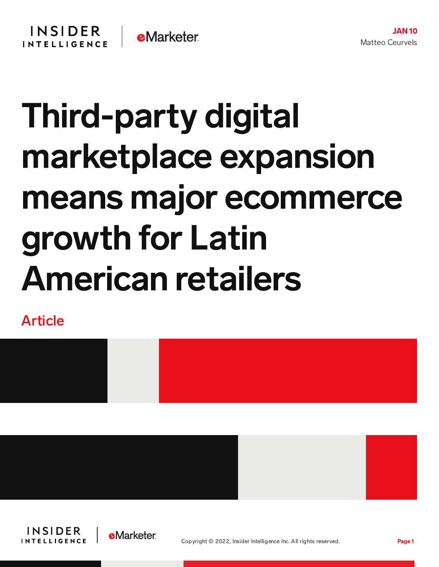## Third-party digital marketplace expansion means major ecommerce growth for Latin American retailers

Article







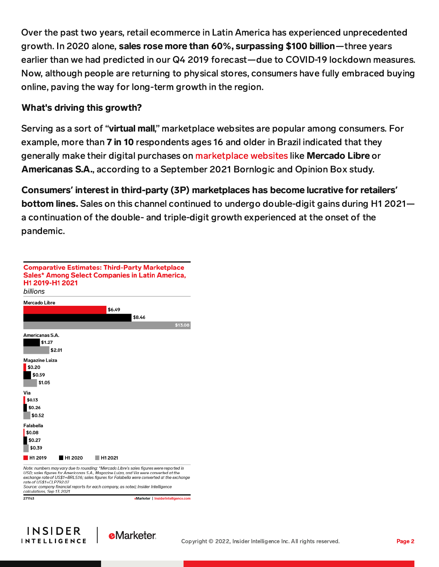Over the past two years, retail ecommerce in Latin America has experienced unprecedented growth. In 2020 alone, sales rose more than 60%, surpassing \$100 billion—three years earlier than we had predicted in our Q4 2019 forecast—due to COVID-19 lockdown measures. Now, although people are returning to physical stores, consumers have fully embraced buying online, paving the way for long-term growth in the region.

## What's driving this growth?

Serving as a sort of "virtual mall," marketplace websites are popular among consumers. For example, more than 7 in 10 respondents ages 16 and older in Brazil indicated that they generally make their digital purchases on [marketplace](https://totalaccess.emarketer.com/Redirectchart?id=277084) websites like Mercado Libre or Americanas S.A., according to a September 2021 Bornlogic and Opinion Box study.

Consumers**'** interest in third-party (3P) marketplaces has become lucrative for retailers**'** bottom lines. Sales on this channel continued to undergo double-digit gains during H1 2021 a continuation of the double- and triple-digit growth experienced at the onset of the pandemic.

| H1 2019-H1 2021<br>billions                           |                     |         | <b>Comparative Estimates: Third-Party Marketplace</b><br>Sales* Among Select Companies in Latin America,                                                                                                                                                                                                                                                             |         |
|-------------------------------------------------------|---------------------|---------|----------------------------------------------------------------------------------------------------------------------------------------------------------------------------------------------------------------------------------------------------------------------------------------------------------------------------------------------------------------------|---------|
| <b>Mercado Libre</b>                                  |                     |         |                                                                                                                                                                                                                                                                                                                                                                      |         |
|                                                       |                     | \$6.49  | \$8.46                                                                                                                                                                                                                                                                                                                                                               |         |
|                                                       |                     |         |                                                                                                                                                                                                                                                                                                                                                                      | \$13.08 |
| Americanas S.A.<br>\$1.27                             | \$2.01              |         |                                                                                                                                                                                                                                                                                                                                                                      |         |
| Magazine Luiza<br>\$0.20<br>\$0.59<br>\$1.05          |                     |         |                                                                                                                                                                                                                                                                                                                                                                      |         |
| Via<br>\$0.13<br>\$0.26<br>\$0.52                     |                     |         |                                                                                                                                                                                                                                                                                                                                                                      |         |
| Falabella<br>\$0.08<br>\$0.27<br>\$0.39               |                     |         |                                                                                                                                                                                                                                                                                                                                                                      |         |
| H <sub>1</sub> 2019                                   | H <sub>1</sub> 2020 | H1 2021 |                                                                                                                                                                                                                                                                                                                                                                      |         |
| rate of US\$1=CLP792.07<br>calculations. Sep 13, 2021 |                     |         | Note: numbers may vary due to rounding; *Mercado Libre's sales figures were reported in<br>USD; sales figures for Americanas S.A., Magazine Luiza, and Via were converted at the<br>exchange rate of US\$1=BRL5.16; sales figures for Falabella were converted at the exchange<br>Source: company financial reports for each company, as noted; Insider Intelligence |         |